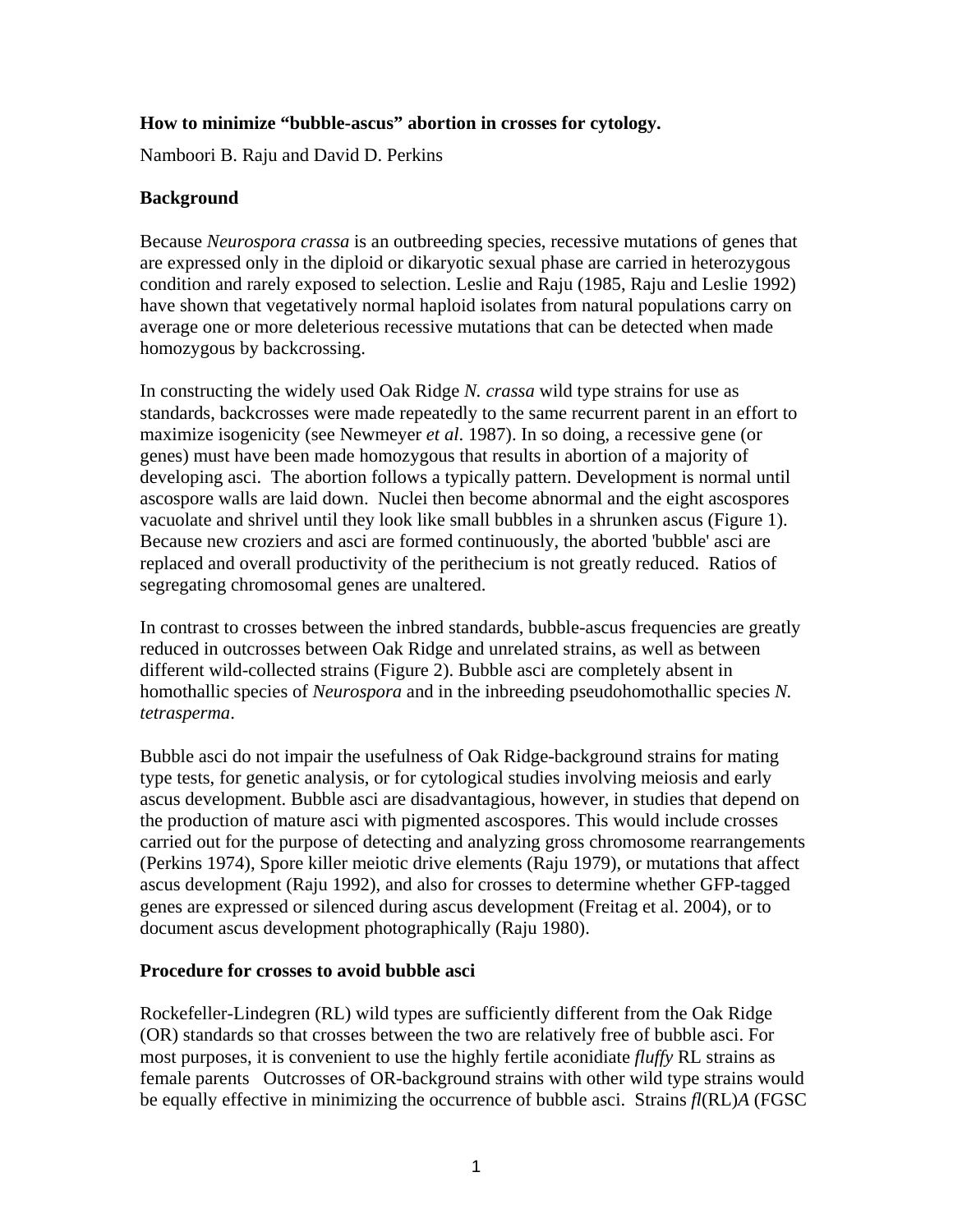## **How to minimize "bubble-ascus" abortion in crosses for cytology.**

Namboori B. Raju and David D. Perkins

## **Background**

Because *Neurospora crassa* is an outbreeding species, recessive mutations of genes that are expressed only in the diploid or dikaryotic sexual phase are carried in heterozygous condition and rarely exposed to selection. Leslie and Raju (1985, Raju and Leslie 1992) have shown that vegetatively normal haploid isolates from natural populations carry on average one or more deleterious recessive mutations that can be detected when made homozygous by backcrossing.

In constructing the widely used Oak Ridge *N. crassa* wild type strains for use as standards, backcrosses were made repeatedly to the same recurrent parent in an effort to maximize isogenicity (see Newmeyer *et al*. 1987). In so doing, a recessive gene (or genes) must have been made homozygous that results in abortion of a majority of developing asci. The abortion follows a typically pattern. Development is normal until ascospore walls are laid down. Nuclei then become abnormal and the eight ascospores vacuolate and shrivel until they look like small bubbles in a shrunken ascus (Figure 1). Because new croziers and asci are formed continuously, the aborted 'bubble' asci are replaced and overall productivity of the perithecium is not greatly reduced. Ratios of segregating chromosomal genes are unaltered.

In contrast to crosses between the inbred standards, bubble-ascus frequencies are greatly reduced in outcrosses between Oak Ridge and unrelated strains, as well as between different wild-collected strains (Figure 2). Bubble asci are completely absent in homothallic species of *Neurospora* and in the inbreeding pseudohomothallic species *N. tetrasperma*.

Bubble asci do not impair the usefulness of Oak Ridge-background strains for mating type tests, for genetic analysis, or for cytological studies involving meiosis and early ascus development. Bubble asci are disadvantagious, however, in studies that depend on the production of mature asci with pigmented ascospores. This would include crosses carried out for the purpose of detecting and analyzing gross chromosome rearrangements (Perkins 1974), Spore killer meiotic drive elements (Raju 1979), or mutations that affect ascus development (Raju 1992), and also for crosses to determine whether GFP-tagged genes are expressed or silenced during ascus development (Freitag et al. 2004), or to document ascus development photographically (Raju 1980).

## **Procedure for crosses to avoid bubble asci**

Rockefeller-Lindegren (RL) wild types are sufficiently different from the Oak Ridge (OR) standards so that crosses between the two are relatively free of bubble asci. For most purposes, it is convenient to use the highly fertile aconidiate *fluffy* RL strains as female parents Outcrosses of OR-background strains with other wild type strains would be equally effective in minimizing the occurrence of bubble asci. Strains *fl*(RL)*A* (FGSC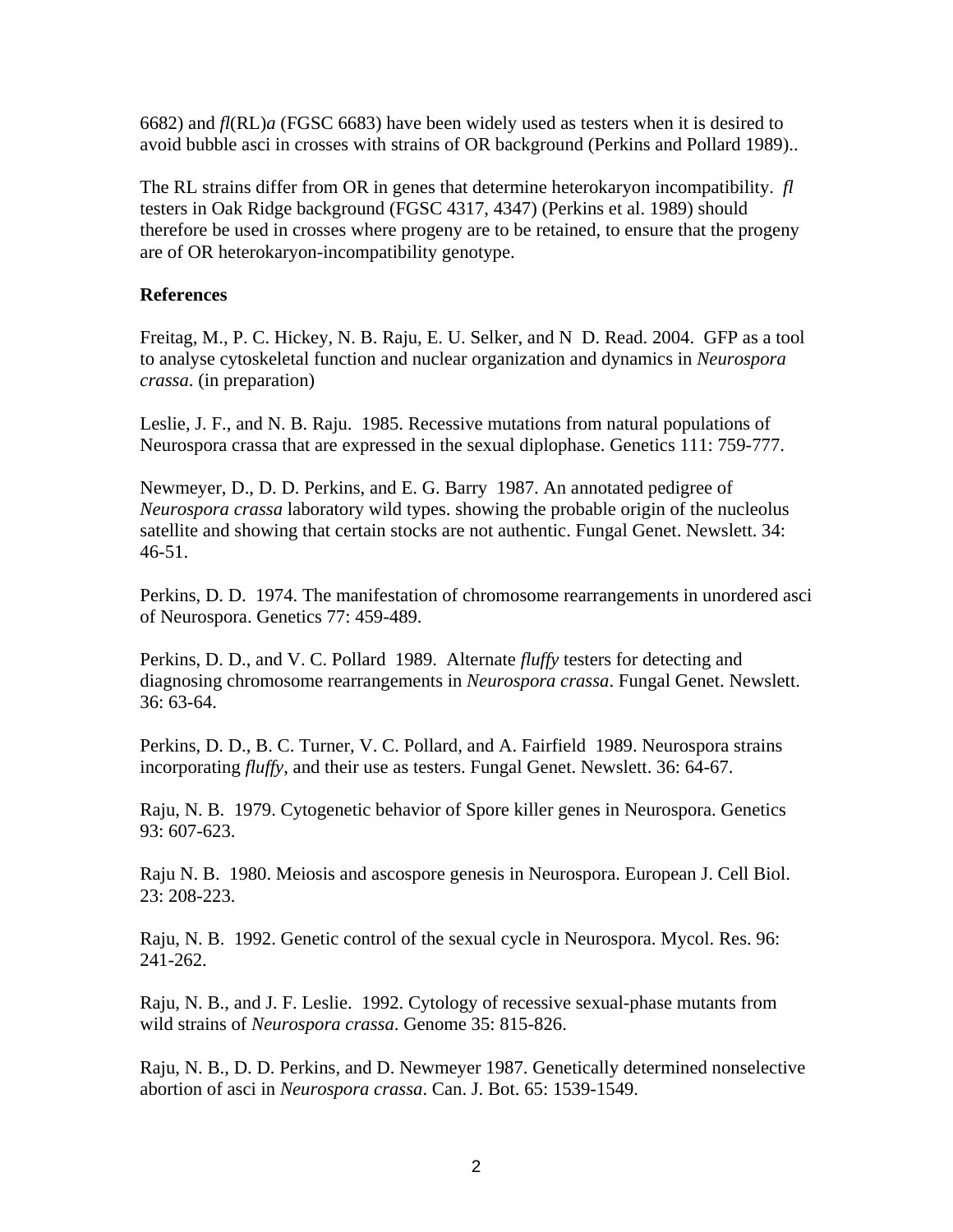6682) and *fl*(RL)*a* (FGSC 6683) have been widely used as testers when it is desired to avoid bubble asci in crosses with strains of OR background (Perkins and Pollard 1989)..

The RL strains differ from OR in genes that determine heterokaryon incompatibility. *fl*  testers in Oak Ridge background (FGSC 4317, 4347) (Perkins et al. 1989) should therefore be used in crosses where progeny are to be retained, to ensure that the progeny are of OR heterokaryon-incompatibility genotype.

## **References**

Freitag, M., P. C. Hickey, N. B. Raju, E. U. Selker, and N D. Read. 2004. GFP as a tool to analyse cytoskeletal function and nuclear organization and dynamics in *Neurospora crassa*. (in preparation)

Leslie, J. F., and N. B. Raju. 1985. Recessive mutations from natural populations of Neurospora crassa that are expressed in the sexual diplophase. Genetics 111: 759-777.

Newmeyer, D., D. D. Perkins, and E. G. Barry 1987. An annotated pedigree of *Neurospora crassa* laboratory wild types. showing the probable origin of the nucleolus satellite and showing that certain stocks are not authentic. Fungal Genet. Newslett. 34: 46-51.

Perkins, D. D. 1974. The manifestation of chromosome rearrangements in unordered asci of Neurospora. Genetics 77: 459-489.

Perkins, D. D., and V. C. Pollard 1989. Alternate *fluffy* testers for detecting and diagnosing chromosome rearrangements in *Neurospora crassa*. Fungal Genet. Newslett. 36: 63-64.

Perkins, D. D., B. C. Turner, V. C. Pollard, and A. Fairfield 1989. Neurospora strains incorporating *fluffy*, and their use as testers. Fungal Genet. Newslett. 36: 64-67.

Raju, N. B. 1979. Cytogenetic behavior of Spore killer genes in Neurospora. Genetics 93: 607-623.

Raju N. B. 1980. Meiosis and ascospore genesis in Neurospora. European J. Cell Biol. 23: 208-223.

Raju, N. B. 1992. Genetic control of the sexual cycle in Neurospora. Mycol. Res. 96: 241-262.

Raju, N. B., and J. F. Leslie. 1992. Cytology of recessive sexual-phase mutants from wild strains of *Neurospora crassa*. Genome 35: 815-826.

Raju, N. B., D. D. Perkins, and D. Newmeyer 1987. Genetically determined nonselective abortion of asci in *Neurospora crassa*. Can. J. Bot. 65: 1539-1549.